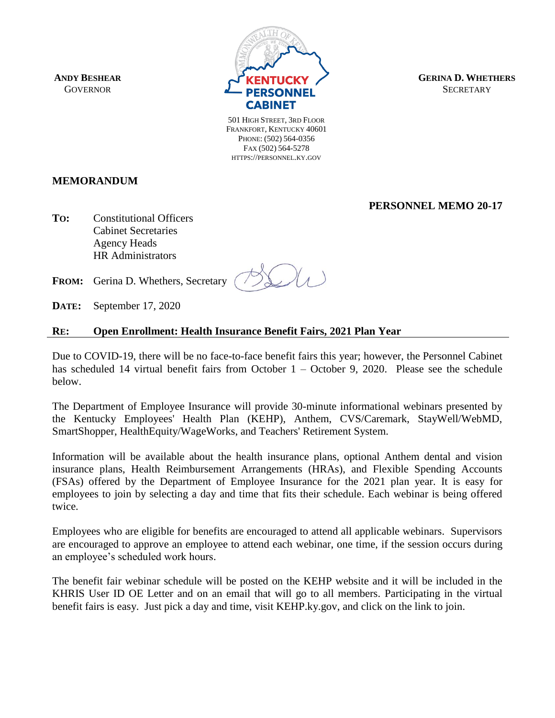**ANDY BESHEAR GOVERNOR** 



**GERINA D. WHETHERS SECRETARY** 

501 HIGH STREET, 3RD FLOOR FRANKFORT, KENTUCKY 40601 PHONE: (502) 564-0356 FAX (502) 564-5278 HTTPS://PERSONNEL.KY.GOV

# **MEMORANDUM**

**PERSONNEL MEMO 20-17**

**TO:** Constitutional Officers Cabinet Secretaries Agency Heads HR Administrators

**FROM:** Gerina D. Whethers, Secretary

**DATE:** September 17, 2020

## **RE: Open Enrollment: Health Insurance Benefit Fairs, 2021 Plan Year**

Due to COVID-19, there will be no face-to-face benefit fairs this year; however, the Personnel Cabinet has scheduled 14 virtual benefit fairs from October 1 – October 9, 2020. Please see the schedule below.

The Department of Employee Insurance will provide 30-minute informational webinars presented by the Kentucky Employees' Health Plan (KEHP), Anthem, CVS/Caremark, StayWell/WebMD, SmartShopper, HealthEquity/WageWorks, and Teachers' Retirement System.

Information will be available about the health insurance plans, optional Anthem dental and vision insurance plans, Health Reimbursement Arrangements (HRAs), and Flexible Spending Accounts (FSAs) offered by the Department of Employee Insurance for the 2021 plan year. It is easy for employees to join by selecting a day and time that fits their schedule. Each webinar is being offered twice.

Employees who are eligible for benefits are encouraged to attend all applicable webinars. Supervisors are encouraged to approve an employee to attend each webinar, one time, if the session occurs during an employee's scheduled work hours.

The benefit fair webinar schedule will be posted on the KEHP website and it will be included in the KHRIS User ID OE Letter and on an email that will go to all members. Participating in the virtual benefit fairs is easy. Just pick a day and time, visit KEHP.ky.gov, and click on the link to join.